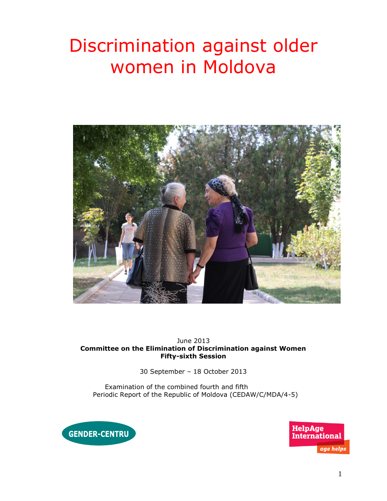# Discrimination against older women in Moldova



#### June 2013 **Committee on the Elimination of Discrimination against Women Fifty-sixth Session**

30 September – 18 October 2013

Examination of the combined fourth and fifth Periodic Report of the Republic of Moldova (CEDAW/C/MDA/4-5)



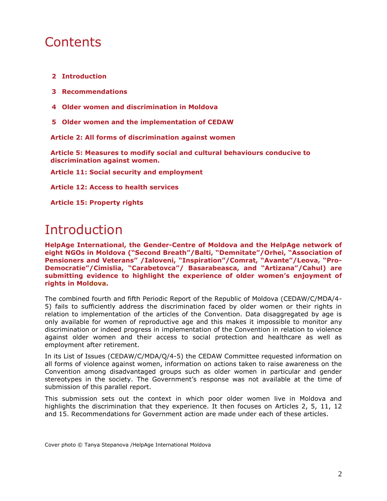# **Contents**

- **2 Introduction**
- **3 Recommendations**
- **4 Older women and discrimination in Moldova**
- **5 Older women and the implementation of CEDAW**

**Article 2: All forms of discrimination against women** 

**Article 5: Measures to modify social and cultural behaviours conducive to discrimination against women.**

**Article 11: Social security and employment**

**Article 12: Access to health services**

**Article 15: Property rights**

# Introduction

**HelpAge International, the Gender-Centre of Moldova and the HelpAge network of eight NGOs in Moldova ("Second Breath"/Balti, "Demnitate"/Orhei, "Association of Pensioners and Veterans" /Ialoveni, "Inspiration"/Comrat, "Avante"/Leova, "Pro-Democratie"/Cimislia, "Carabetovca"/ Basarabeasca, and "Artizana"/Cahul) are submitting evidence to highlight the experience of older women's enjoyment of rights in Moldova.** 

The combined fourth and fifth Periodic Report of the Republic of Moldova (CEDAW/C/MDA/4- 5) fails to sufficiently address the discrimination faced by older women or their rights in relation to implementation of the articles of the Convention. Data disaggregated by age is only available for women of reproductive age and this makes it impossible to monitor any discrimination or indeed progress in implementation of the Convention in relation to violence against older women and their access to social protection and healthcare as well as employment after retirement.

In its List of Issues (CEDAW/C/MDA/Q/4-5) the CEDAW Committee requested information on all forms of violence against women, information on actions taken to raise awareness on the Convention among disadvantaged groups such as older women in particular and gender stereotypes in the society. The Government's response was not available at the time of submission of this parallel report.

This submission sets out the context in which poor older women live in Moldova and highlights the discrimination that they experience. It then focuses on Articles 2, 5, 11, 12 and 15. Recommendations for Government action are made under each of these articles.

Cover photo © Tanya Stepanova /HelpAge International Moldova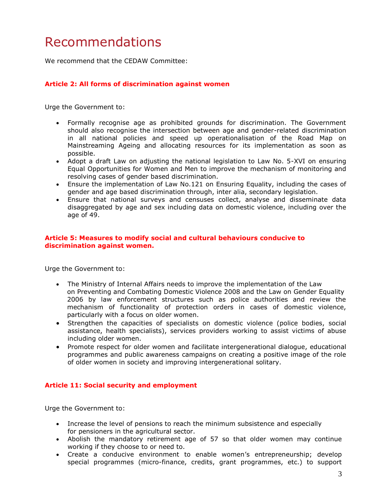# Recommendations

We recommend that the CEDAW Committee:

#### **Article 2: All forms of discrimination against women**

Urge the Government to:

- Formally recognise age as prohibited grounds for discrimination. The Government should also recognise the intersection between age and gender-related discrimination in all national policies and speed up operationalisation of the Road Map on Mainstreaming Ageing and allocating resources for its implementation as soon as possible.
- Adopt a draft Law on adjusting the national legislation to Law No. 5-XVI on ensuring Equal Opportunities for Women and Men to improve the mechanism of monitoring and resolving cases of gender based discrimination.
- Ensure the implementation of Law No.121 on Ensuring Equality, including the cases of gender and age based discrimination through, inter alia, secondary legislation.
- Ensure that national surveys and censuses collect, analyse and disseminate data disaggregated by age and sex including data on domestic violence, including over the age of 49.

#### **Article 5: Measures to modify social and cultural behaviours conducive to discrimination against women.**

Urge the Government to:

- The Ministry of Internal Affairs needs to improve the implementation of the Law on Preventing and Combating Domestic Violence 2008 and the Law on Gender Equality 2006 by law enforcement structures such as police authorities and review the mechanism of functionality of protection orders in cases of domestic violence, particularly with a focus on older women.
- Strengthen the capacities of specialists on domestic violence (police bodies, social assistance, health specialists), services providers working to assist victims of abuse including older women.
- Promote respect for older women and facilitate intergenerational dialogue, educational programmes and public awareness campaigns on creating a positive image of the role of older women in society and improving intergenerational solitary.

#### **Article 11: Social security and employment**

Urge the Government to:

- Increase the level of pensions to reach the minimum subsistence and especially for pensioners in the agricultural sector.
- Abolish the mandatory retirement age of 57 so that older women may continue working if they choose to or need to.
- Create a conducive environment to enable women's entrepreneurship; develop special programmes (micro-finance, credits, grant programmes, etc.) to support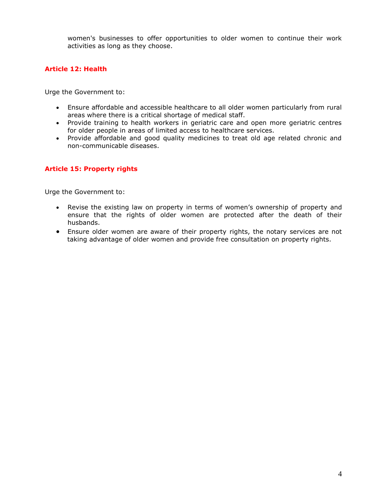women's businesses to offer opportunities to older women to continue their work activities as long as they choose.

### **Article 12: Health**

Urge the Government to:

- Ensure affordable and accessible healthcare to all older women particularly from rural areas where there is a critical shortage of medical staff.
- Provide training to health workers in geriatric care and open more geriatric centres for older people in areas of limited access to healthcare services.
- Provide affordable and good quality medicines to treat old age related chronic and non-communicable diseases.

### **Article 15: Property rights**

Urge the Government to:

- Revise the existing law on property in terms of women's ownership of property and ensure that the rights of older women are protected after the death of their husbands.
- Ensure older women are aware of their property rights, the notary services are not taking advantage of older women and provide free consultation on property rights.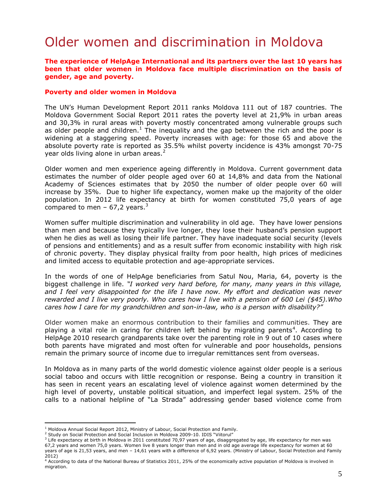# Older women and discrimination in Moldova

#### **The experience of HelpAge International and its partners over the last 10 years has been that older women in Moldova face multiple discrimination on the basis of gender, age and poverty.**

#### **Poverty and older women in Moldova**

The UN's Human Development Report 2011 ranks Moldova 111 out of 187 countries. The Moldova Government Social Report 2011 rates the poverty level at 21,9% in urban areas and 30,3% in rural areas with poverty mostly concentrated among vulnerable groups such as older people and children.<sup>1</sup> The inequality and the gap between the rich and the poor is widening at a staggering speed. Poverty increases with age: for those 65 and above the absolute poverty rate is reported as 35.5% whilst poverty incidence is 43% amongst 70-75 year olds living alone in urban areas.<sup>2</sup>

Older women and men experience ageing differently in Moldova. Current government data estimates the number of older people aged over 60 at 14,8% and data from the National Academy of Sciences estimates that by 2050 the number of older people over 60 will increase by 35%. Due to higher life expectancy, women make up the majority of the older population. In 2012 life expectancy at birth for women constituted 75,0 years of age compared to men – 67,2 years.<sup>3</sup>

Women suffer multiple discrimination and vulnerability in old age. They have lower pensions than men and because they typically live longer, they lose their husband's pension support when he dies as well as losing their life partner. They have inadequate social security (levels of pensions and entitlements) and as a result suffer from economic instability with high risk of chronic poverty. They display physical frailty from poor health, high prices of medicines and limited access to equitable protection and age-appropriate services.

In the words of one of HelpAge beneficiaries from Satul Nou, Maria, 64, poverty is the biggest challenge in life. *"I worked very hard before, for many, many years in this village, and I feel very disappointed for the life I have now. My effort and dedication was never rewarded and I live very poorly. Who cares how I live with a pension of 600 Lei (\$45).Who cares how I care for my grandchildren and son-in-law, who is a person with disability?"*

Older women make an enormous contribution to their families and communities. They are playing a vital role in caring for children left behind by migrating parents<sup>4</sup>. According to HelpAge 2010 research grandparents take over the parenting role in 9 out of 10 cases where both parents have migrated and most often for vulnerable and poor households, pensions remain the primary source of income due to irregular remittances sent from overseas.

In Moldova as in many parts of the world domestic violence against older people is a serious social taboo and occurs with little recognition or response. Being a country in transition it has seen in recent years an escalating level of violence against women determined by the high level of poverty, unstable political situation, and imperfect legal system. 25% of the calls to a national helpline of "La Strada" addressing gender based violence come from

 $\overline{a}$ 

 $1$  Moldova Annual Social Report 2012, Ministry of Labour, Social Protection and Family.

<sup>&</sup>lt;sup>2</sup> Study on Social Protection and Social Inclusion in Moldova 2009-10. IDIS "Viitorul"

 $3$  Life expectancy at birth in Moldova in 2011 constituted 70,97 years of age, disaggregated by age, life expectancy for men was

<sup>67,2</sup> years and women 75,0 years. Women live 8 years longer than men and in old age average life expectancy for women at 60 years of age is 21,53 years, and men – 14,61 years with a difference of 6,92 years. (Ministry of Labour, Social Protection and Family 2012)

<sup>4</sup> According to data of the National Bureau of Statistics 2011, 25% of the economically active population of Moldova is involved in migration.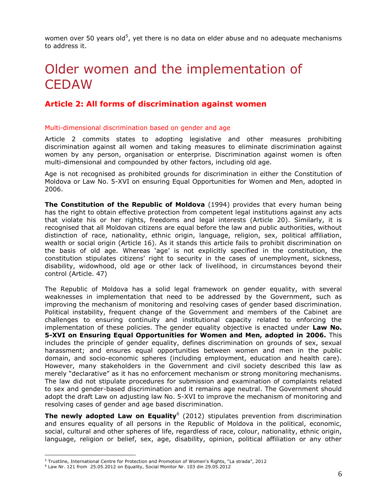women over 50 years old<sup>5</sup>, yet there is no data on elder abuse and no adequate mechanisms to address it.

# Older women and the implementation of **CEDAW**

# **Article 2: All forms of discrimination against women**

#### Multi-dimensional discrimination based on gender and age

Article 2 commits states to adopting legislative and other measures prohibiting discrimination against all women and taking measures to eliminate discrimination against women by any person, organisation or enterprise. Discrimination against women is often multi-dimensional and compounded by other factors, including old age.

Age is not recognised as prohibited grounds for discrimination in either the Constitution of Moldova or Law No. 5-XVI on ensuring Equal Opportunities for Women and Men, adopted in 2006.

**The Constitution of the Republic of Moldova** (1994) provides that every human being has the right to obtain effective protection from competent legal institutions against any acts that violate his or her rights, freedoms and legal interests (Article 20). Similarly, it is recognised that all Moldovan citizens are equal before the law and public authorities, without distinction of race, nationality, ethnic origin, language, religion, sex, political affiliation, wealth or social origin (Article 16). As it stands this article fails to prohibit discrimination on the basis of old age. Whereas 'age' is not explicitly specified in the constitution, the constitution stipulates citizens' right to security in the cases of unemployment, sickness, disability, widowhood, old age or other lack of livelihood, in circumstances beyond their control (Article. 47)

The Republic of Moldova has a solid legal framework on gender equality, with several weaknesses in implementation that need to be addressed by the Government, such as improving the mechanism of monitoring and resolving cases of gender based discrimination. Political instability, frequent change of the Government and members of the Cabinet are challenges to ensuring continuity and institutional capacity related to enforcing the implementation of these policies. The gender equality objective is enacted under **Law No. 5-XVI on Ensuring Equal Opportunities for Women and Men, adopted in 2006.** This includes the principle of gender equality, defines discrimination on grounds of sex, sexual harassment; and ensures equal opportunities between women and men in the public domain, and socio-economic spheres (including employment, education and health care). However, many stakeholders in the Government and civil society described this law as merely "declarative" as it has no enforcement mechanism or strong monitoring mechanisms. The law did not stipulate procedures for submission and examination of complaints related to sex and gender-based discrimination and it remains age neutral. The Government should adopt the draft Law on adjusting law No. 5-XVI to improve the mechanism of monitoring and resolving cases of gender and age based discrimination.

**The newly adopted Law on Equality**<sup>6</sup> (2012) stipulates prevention from discrimination and ensures equality of all persons in the Republic of Moldova in the political, economic, social, cultural and other spheres of life, regardless of race, colour, nationality, ethnic origin, language, religion or belief, sex, age, disability, opinion, political affiliation or any other

 $\overline{a}$ 

<sup>5</sup> Trustline, International Centre for Protection and Promotion of Women's Rights, "La strada", 2012

<sup>6</sup> Law Nr. 121 from 25.05.2012 on Equality, Social Monitor Nr. 103 din 29.05.2012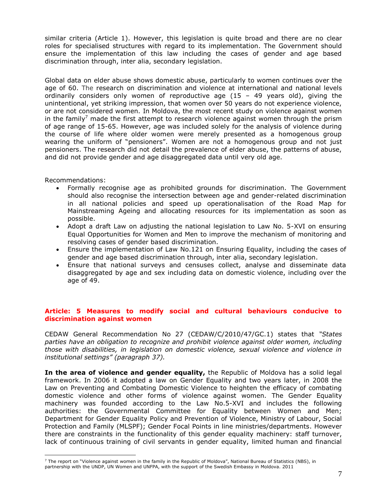similar criteria (Article 1). However, this legislation is quite broad and there are no clear roles for specialised structures with regard to its implementation. The Government should ensure the implementation of this law including the cases of gender and age based discrimination through, inter alia, secondary legislation.

Global data on elder abuse shows domestic abuse, particularly to women continues over the age of 60. The research on discrimination and violence at international and national levels ordinarily considers only women of reproductive age  $(15 - 49$  years old), giving the unintentional, yet striking impression, that women over 50 years do not experience violence, or are not considered women. In Moldova, the most recent study on violence against women in the family<sup>7</sup> made the first attempt to research violence against women through the prism of age range of 15-65. However, age was included solely for the analysis of violence during the course of life where older women were merely presented as a homogenous group wearing the uniform of "pensioners". Women are not a homogenous group and not just pensioners. The research did not detail the prevalence of elder abuse, the patterns of abuse, and did not provide gender and age disaggregated data until very old age.

Recommendations:

 $\overline{a}$ 

- Formally recognise age as prohibited grounds for discrimination. The Government should also recognise the intersection between age and gender-related discrimination in all national policies and speed up operationalisation of the Road Map for Mainstreaming Ageing and allocating resources for its implementation as soon as possible.
- Adopt a draft Law on adjusting the national legislation to Law No. 5-XVI on ensuring Equal Opportunities for Women and Men to improve the mechanism of monitoring and resolving cases of gender based discrimination.
- Ensure the implementation of Law No.121 on Ensuring Equality, including the cases of gender and age based discrimination through, inter alia, secondary legislation.
- Ensure that national surveys and censuses collect, analyse and disseminate data disaggregated by age and sex including data on domestic violence, including over the age of 49.

### **Article: 5 Measures to modify social and cultural behaviours conducive to discrimination against women**

CEDAW General Recommendation No 27 (CEDAW/C/2010/47/GC.1) states that *"States parties have an obligation to recognize and prohibit violence against older women, including those with disabilities, in legislation on domestic violence, sexual violence and violence in institutional settings" (paragraph 37).*

**In the area of violence and gender equality,** the Republic of Moldova has a solid legal framework. In 2006 it adopted a law on Gender Equality and two years later, in 2008 the Law on Preventing and Combating Domestic Violence to heighten the efficacy of combating domestic violence and other forms of violence against women. The Gender Equality machinery was founded according to the Law No.5-XVI and includes the following authorities: the Governmental Committee for Equality between Women and Men; Department for Gender Equality Policy and Prevention of Violence, Ministry of Labour, Social Protection and Family (MLSPF); Gender Focal Points in line ministries/departments. However there are constraints in the functionality of this gender equality machinery: staff turnover, lack of continuous training of civil servants in gender equality, limited human and financial

 $<sup>7</sup>$  The report on "Violence against women in the family in the Republic of Moldova", National Bureau of Statistics (NBS), in</sup> partnership with the UNDP, UN Women and UNFPA, with the support of the Swedish Embassy in Moldova. 2011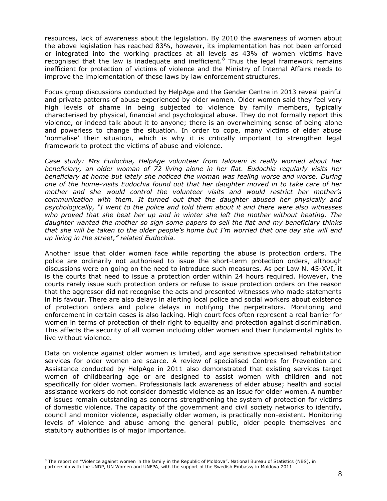resources, lack of awareness about the legislation. By 2010 the awareness of women about the above legislation has reached 83%, however, its implementation has not been enforced or integrated into the working practices at all levels as 43% of women victims have recognised that the law is inadequate and inefficient.<sup>8</sup> Thus the legal framework remains inefficient for protection of victims of violence and the Ministry of Internal Affairs needs to improve the implementation of these laws by law enforcement structures.

Focus group discussions conducted by HelpAge and the Gender Centre in 2013 reveal painful and private patterns of abuse experienced by older women. Older women said they feel very high levels of shame in being subjected to violence by family members, typically characterised by physical, financial and psychological abuse. They do not formally report this violence, or indeed talk about it to anyone; there is an overwhelming sense of being alone and powerless to change the situation. In order to cope, many victims of elder abuse 'normalise' their situation, which is why it is critically important to strengthen legal framework to protect the victims of abuse and violence.

*Case study: Mrs Eudochia, HelpAge volunteer from Ialoveni is really worried about her beneficiary, an older woman of 72 living alone in her flat. Eudochia regularly visits her beneficiary at home but lately she noticed the woman was feeling worse and worse. During one of the home-visits Eudochia found out that her daughter moved in to take care of her mother and she would control the volunteer visits and would restrict her mother's communication with them. It turned out that the daughter abused her physically and psychologically, "I went to the police and told them about it and there were also witnesses who proved that she beat her up and in winter she left the mother without heating. The daughter wanted the mother so sign some papers to sell the flat and my beneficiary thinks that she will be taken to the older people's home but I'm worried that one day she will end up living in the street," related Eudochia.* 

Another issue that older women face while reporting the abuse is protection orders. The police are ordinarily not authorised to issue the short-term protection orders, although discussions were on going on the need to introduce such measures. As per Law N. 45-XVI, it is the courts that need to issue a protection order within 24 hours required. However, the courts rarely issue such protection orders or refuse to issue protection orders on the reason that the aggressor did not recognise the acts and presented witnesses who made statements in his favour. There are also delays in alerting local police and social workers about existence of protection orders and police delays in notifying the perpetrators. Monitoring and enforcement in certain cases is also lacking. High court fees often represent a real barrier for women in terms of protection of their right to equality and protection against discrimination. This affects the security of all women including older women and their fundamental rights to live without violence.

Data on violence against older women is limited, and age sensitive specialised rehabilitation services for older women are scarce. A review of specialised Centres for Prevention and Assistance conducted by HelpAge in 2011 also demonstrated that existing services target women of childbearing age or are designed to assist women with children and not specifically for older women. Professionals lack awareness of elder abuse; health and social assistance workers do not consider domestic violence as an issue for older women. A number of issues remain outstanding as concerns strengthening the system of protection for victims of domestic violence. The capacity of the government and civil society networks to identify, council and monitor violence, especially older women, is practically non-existent. Monitoring levels of violence and abuse among the general public, older people themselves and statutory authorities is of major importance.

 $\overline{a}$ <sup>8</sup> The report on "Violence against women in the family in the Republic of Moldova", National Bureau of Statistics (NBS), in partnership with the UNDP, UN Women and UNFPA, with the support of the Swedish Embassy in Moldova 2011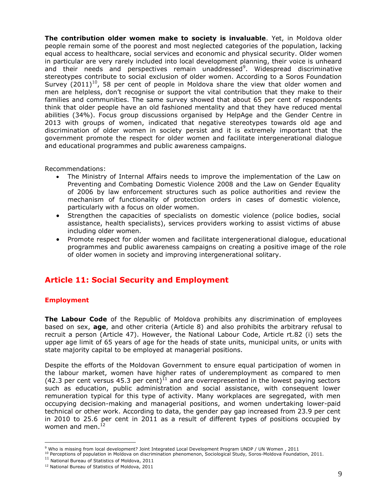**The contribution older women make to society is invaluable**. Yet, in Moldova older people remain some of the poorest and most neglected categories of the population, lacking equal access to healthcare, social services and economic and physical security. Older women in particular are very rarely included into local development planning, their voice is unheard and their needs and perspectives remain unaddressed<sup>9</sup>. Widespread discriminative stereotypes contribute to social exclusion of older women. According to a Soros Foundation Survey  $(2011)^{10}$ , 58 per cent of people in Moldova share the view that older women and men are helpless, don't recognise or support the vital contribution that they make to their families and communities. The same survey showed that about 65 per cent of respondents think that older people have an old fashioned mentality and that they have reduced mental abilities (34%). Focus group discussions organised by HelpAge and the Gender Centre in 2013 with groups of women, indicated that negative stereotypes towards old age and discrimination of older women in society persist and it is extremely important that the government promote the respect for older women and facilitate intergenerational dialogue and educational programmes and public awareness campaigns.

Recommendations:

- The Ministry of Internal Affairs needs to improve the implementation of the Law on Preventing and Combating Domestic Violence 2008 and the Law on Gender Equality of 2006 by law enforcement structures such as police authorities and review the mechanism of functionality of protection orders in cases of domestic violence, particularly with a focus on older women.
- Strengthen the capacities of specialists on domestic violence (police bodies, social assistance, health specialists), services providers working to assist victims of abuse including older women.
- Promote respect for older women and facilitate intergenerational dialogue, educational programmes and public awareness campaigns on creating a positive image of the role of older women in society and improving intergenerational solitary.

# **Article 11: Social Security and Employment**

### **Employment**

 $\overline{a}$ 

**The Labour Code** of the Republic of Moldova prohibits any discrimination of employees based on sex, **age**, and other criteria (Article 8) and also prohibits the arbitrary refusal to recruit a person (Article 47). However, the National Labour Code, Article rt.82 (i) sets the upper age limit of 65 years of age for the heads of state units, municipal units, or units with state majority capital to be employed at managerial positions.

Despite the efforts of the Moldovan Government to ensure equal participation of women in the labour market, women have higher rates of underemployment as compared to men (42.3 per cent versus 45.3 per cent)<sup>11</sup> and are overrepresented in the lowest paying sectors such as education, public administration and social assistance, with consequent lower remuneration typical for this type of activity. Many workplaces are segregated, with men occupying decision-making and managerial positions, and women undertaking lower-paid technical or other work. According to data, the gender pay gap increased from 23.9 per cent in 2010 to 25.6 per cent in 2011 as a result of different types of positions occupied by women and men. $^{12}$ 

<sup>9</sup> Who is missing from local development? Joint Integrated Local Development Program UNDP / UN Women , 2011

 $10$  Perceptions of population in Moldova on discrimination phenomenon, Sociological Study, Soros-Moldova Foundation, 2011.

 $11$  National Bureau of Statistics of Moldova, 2011

<sup>&</sup>lt;sup>12</sup> National Bureau of Statistics of Moldova, 2011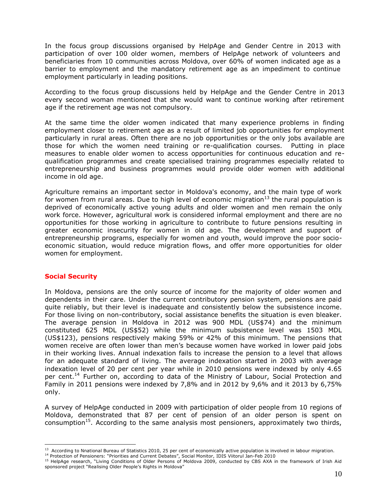In the focus group discussions organised by HelpAge and Gender Centre in 2013 with participation of over 100 older women, members of HelpAge network of volunteers and beneficiaries from 10 communities across Moldova, over 60% of women indicated age as a barrier to employment and the mandatory retirement age as an impediment to continue employment particularly in leading positions.

According to the focus group discussions held by HelpAge and the Gender Centre in 2013 every second woman mentioned that she would want to continue working after retirement age if the retirement age was not compulsory.

At the same time the older women indicated that many experience problems in finding employment closer to retirement age as a result of limited job opportunities for employment particularly in rural areas. Often there are no job opportunities or the only jobs available are those for which the women need training or re-qualification courses. Putting in place measures to enable older women to access opportunities for continuous education and requalification programmes and create specialised training programmes especially related to entrepreneurship and business programmes would provide older women with additional income in old age.

Agriculture remains an important sector in Moldova's economy, and the main type of work for women from rural areas. Due to high level of economic migration<sup>13</sup> the rural population is deprived of economically active young adults and older women and men remain the only work force. However, agricultural work is considered informal employment and there are no opportunities for those working in agriculture to contribute to future pensions resulting in greater economic insecurity for women in old age. The development and support of entrepreneurship programs, especially for women and youth, would improve the poor socioeconomic situation, would reduce migration flows, and offer more opportunities for older women for employment.

#### **Social Security**

 $\overline{a}$ 

In Moldova, pensions are the only source of income for the majority of older women and dependents in their care. Under the current contributory pension system, pensions are paid quite reliably, but their level is inadequate and consistently below the subsistence income. For those living on non-contributory, social assistance benefits the situation is even bleaker. The average pension in Moldova in 2012 was 900 MDL (US\$74) and the minimum constituted 625 MDL (US\$52) while the minimum subsistence level was 1503 MDL (US\$123), pensions respectively making 59% or 42% of this minimum. The pensions that women receive are often lower than men's because women have worked in lower paid jobs in their working lives. Annual indexation fails to increase the pension to a level that allows for an adequate standard of living. The average indexation started in 2003 with average indexation level of 20 per cent per year while in 2010 pensions were indexed by only 4.65 per cent.<sup>14</sup> Further on, according to data of the Ministry of Labour, Social Protection and Family in 2011 pensions were indexed by 7,8% and in 2012 by 9,6% and it 2013 by 6,75% only.

A survey of HelpAge conducted in 2009 with participation of older people from 10 regions of Moldova, demonstrated that 87 per cent of pension of an older person is spent on consumption<sup>15</sup>. According to the same analysis most pensioners, approximately two thirds,

<sup>&</sup>lt;sup>13</sup> According to Nnational Bureau of Statistics 2010, 25 per cent of economically active population is involved in labour migration.

<sup>14</sup> Protection of Pensioners: "Priorities and Current Debates", Social Monitor, IDIS Viitorul Jan-Feb 2010

<sup>&</sup>lt;sup>15</sup> HelpAge research, "Living Conditions of Older Persons of Moldova 2009, conducted by CBS AXA in the framework of Irish Aid sponsored project "Realising Older People's Rights in Moldova"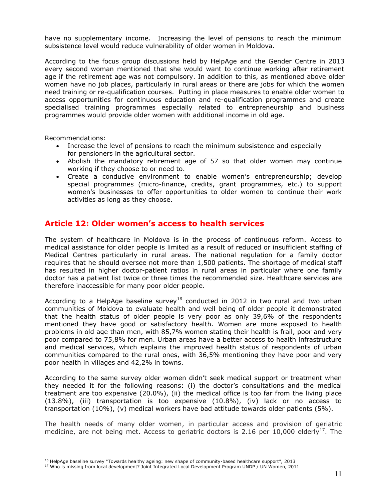have no supplementary income. Increasing the level of pensions to reach the minimum subsistence level would reduce vulnerability of older women in Moldova.

According to the focus group discussions held by HelpAge and the Gender Centre in 2013 every second woman mentioned that she would want to continue working after retirement age if the retirement age was not compulsory. In addition to this, as mentioned above older women have no job places, particularly in rural areas or there are jobs for which the women need training or re-qualification courses. Putting in place measures to enable older women to access opportunities for continuous education and re-qualification programmes and create specialised training programmes especially related to entrepreneurship and business programmes would provide older women with additional income in old age.

Recommendations:

 $\overline{a}$ 

- Increase the level of pensions to reach the minimum subsistence and especially for pensioners in the agricultural sector.
- Abolish the mandatory retirement age of 57 so that older women may continue working if they choose to or need to.
- Create a conducive environment to enable women's entrepreneurship; develop special programmes (micro-finance, credits, grant programmes, etc.) to support women's businesses to offer opportunities to older women to continue their work activities as long as they choose.

### **Article 12: Older women's access to health services**

The system of healthcare in Moldova is in the process of continuous reform. Access to medical assistance for older people is limited as a result of reduced or insufficient staffing of Medical Centres particularly in rural areas. The national regulation for a family doctor requires that he should oversee not more than 1,500 patients. The shortage of medical staff has resulted in higher doctor-patient ratios in rural areas in particular where one family doctor has a patient list twice or three times the recommended size. Healthcare services are therefore inaccessible for many poor older people.

According to a HelpAge baseline survey<sup>16</sup> conducted in 2012 in two rural and two urban communities of Moldova to evaluate health and well being of older people it demonstrated that the health status of older people is very poor as only 39,6% of the respondents mentioned they have good or satisfactory health. Women are more exposed to health problems in old age than men, with 85,7% women stating their health is frail, poor and very poor compared to 75,8% for men. Urban areas have a better access to health infrastructure and medical services, which explains the improved health status of respondents of urban communities compared to the rural ones, with 36,5% mentioning they have poor and very poor health in villages and 42,2% in towns.

According to the same survey older women didn't seek medical support or treatment when they needed it for the following reasons: (i) the doctor's consultations and the medical treatment are too expensive (20.0%), (ii) the medical office is too far from the living place (13.8%), (iii) transportation is too expensive (10.8%), (iv) lack or no access to transportation (10%), (v) medical workers have bad attitude towards older patients (5%).

The health needs of many older women, in particular access and provision of geriatric medicine, are not being met. Access to geriatric doctors is 2.16 per 10,000 elderly<sup>17</sup>. The

<sup>&</sup>lt;sup>16</sup> HelpAge baseline survey "Towards healthy ageing: new shape of community-based healthcare support", 2013

<sup>17</sup> Who is missing from local development? Joint Integrated Local Development Program UNDP / UN Women, 2011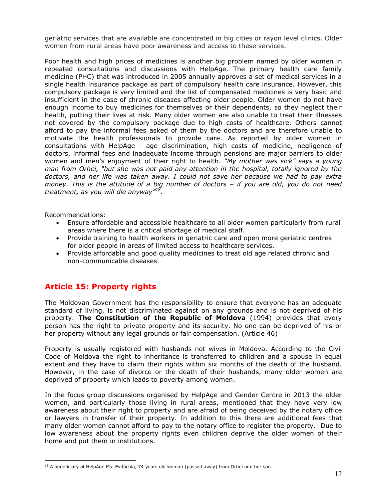geriatric services that are available are concentrated in big cities or rayon level clinics. Older women from rural areas have poor awareness and access to these services.

Poor health and high prices of medicines is another big problem named by older women in repeated consultations and discussions with HelpAge. The primary health care family medicine (PHC) that was introduced in 2005 annually approves a set of medical services in a single health insurance package as part of compulsory health care insurance. However, this compulsory package is very limited and the list of compensated medicines is very basic and insufficient in the case of chronic diseases affecting older people. Older women do not have enough income to buy medicines for themselves or their dependents, so they neglect their health, putting their lives at risk. Many older women are also unable to treat their illnesses not covered by the compulsory package due to high costs of healthcare. Others cannot afford to pay the informal fees asked of them by the doctors and are therefore unable to motivate the health professionals to provide care. As reported by older women in consultations with HelpAge - age discrimination, high costs of medicine, negligence of doctors, informal fees and inadequate income through pensions are major barriers to older women and men's enjoyment of their right to health. *"My mother was sick" says a young man from Orhei, "but she was not paid any attention in the hospital, totally ignored by the doctors, and her life was taken away. I could not save her because we had to pay extra money. This is the attitude of a big number of doctors – if you are old, you do not need treatment, as you will die anyway"<sup>18</sup> .*

Recommendations:

 $\overline{a}$ 

- Ensure affordable and accessible healthcare to all older women particularly from rural areas where there is a critical shortage of medical staff.
- Provide training to health workers in geriatric care and open more geriatric centres for older people in areas of limited access to healthcare services.
- Provide affordable and good quality medicines to treat old age related chronic and non-communicable diseases.

# **Article 15: Property rights**

The Moldovan Government has the responsibility to ensure that everyone has an adequate standard of living, is not discriminated against on any grounds and is not deprived of his property. **The Constitution of the Republic of Moldova** (1994) provides that every person has the right to private property and its security. No one can be deprived of his or her property without any legal grounds or fair compensation. (Article 46)

Property is usually registered with husbands not wives in Moldova. According to the Civil Code of Moldova the right to inheritance is transferred to children and a spouse in equal extent and they have to claim their rights within six months of the death of the husband. However, in the case of divorce or the death of their husbands, many older women are deprived of property which leads to poverty among women.

In the focus group discussions organised by HelpAge and Gender Centre in 2013 the older women, and particularly those living in rural areas, mentioned that they have very low awareness about their right to property and are afraid of being deceived by the notary office or lawyers in transfer of their property. In addition to this there are additional fees that many older women cannot afford to pay to the notary office to register the property. Due to low awareness about the property rights even children deprive the older women of their home and put them in institutions.

<sup>&</sup>lt;sup>18</sup> A beneficiary of HelpAge Ms. Evdochia, 74 years old woman (passed away) from Orhei and her son.